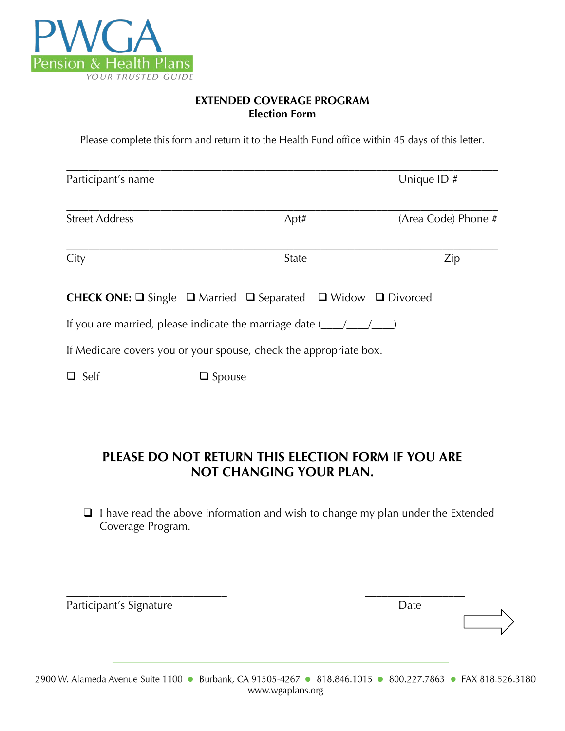

## **EXTENDED COVERAGE PROGRAM Election Form**

Please complete this form and return it to the Health Fund office within 45 days of this letter.

| Participant's name                                                                                          |              | Unique ID#          |  |
|-------------------------------------------------------------------------------------------------------------|--------------|---------------------|--|
| <b>Street Address</b>                                                                                       | Apt#         | (Area Code) Phone # |  |
| City                                                                                                        | <b>State</b> | Zip                 |  |
| <b>CHECK ONE:</b> $\square$ Single $\square$ Married $\square$ Separated $\square$ Widow $\square$ Divorced |              |                     |  |
| If you are married, please indicate the marriage date $(\_\_ / \_\_ / \_\_ )$                               |              |                     |  |
| If Medicare covers you or your spouse, check the appropriate box.                                           |              |                     |  |
| $\Box$ Self<br>$\Box$ Spouse                                                                                |              |                     |  |

## **PLEASE DO NOT RETURN THIS ELECTION FORM IF YOU ARE NOT CHANGING YOUR PLAN.**

 $\Box$  I have read the above information and wish to change my plan under the Extended Coverage Program.

| Participant's Signature | Date |  |
|-------------------------|------|--|
|                         |      |  |
|                         |      |  |